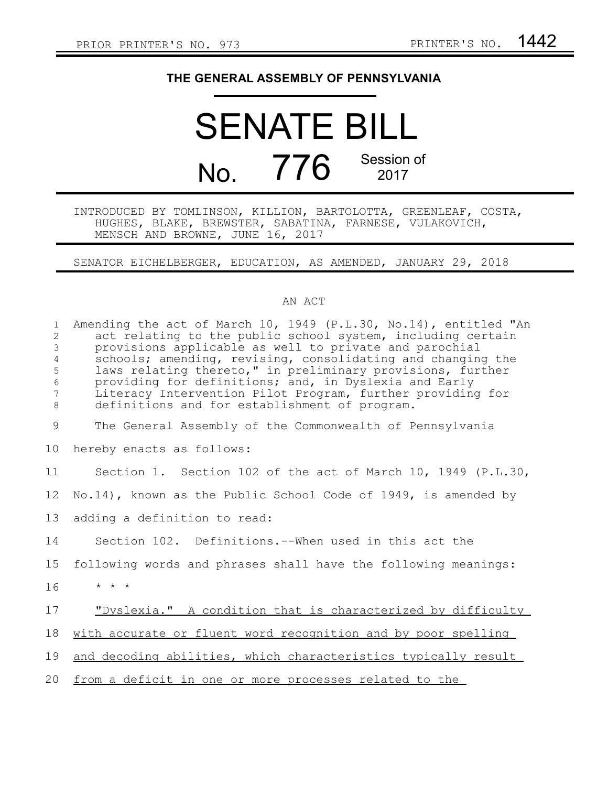## **THE GENERAL ASSEMBLY OF PENNSYLVANIA**

# SENATE BILL No. 776 Session of 2017

#### INTRODUCED BY TOMLINSON, KILLION, BARTOLOTTA, GREENLEAF, COSTA, HUGHES, BLAKE, BREWSTER, SABATINA, FARNESE, VULAKOVICH, MENSCH AND BROWNE, JUNE 16, 2017

### SENATOR EICHELBERGER, EDUCATION, AS AMENDED, JANUARY 29, 2018

#### AN ACT

| $\mathbf{1}$<br>$\mathbf{2}$<br>3<br>4<br>5<br>$\epsilon$<br>7<br>8 | Amending the act of March 10, 1949 (P.L.30, No.14), entitled "An<br>act relating to the public school system, including certain<br>provisions applicable as well to private and parochial<br>schools; amending, revising, consolidating and changing the<br>laws relating thereto," in preliminary provisions, further<br>providing for definitions; and, in Dyslexia and Early<br>Literacy Intervention Pilot Program, further providing for<br>definitions and for establishment of program. |
|---------------------------------------------------------------------|------------------------------------------------------------------------------------------------------------------------------------------------------------------------------------------------------------------------------------------------------------------------------------------------------------------------------------------------------------------------------------------------------------------------------------------------------------------------------------------------|
| $\overline{9}$                                                      | The General Assembly of the Commonwealth of Pennsylvania                                                                                                                                                                                                                                                                                                                                                                                                                                       |
| 10                                                                  | hereby enacts as follows:                                                                                                                                                                                                                                                                                                                                                                                                                                                                      |
| 11                                                                  | Section 1. Section 102 of the act of March 10, 1949 (P.L.30,                                                                                                                                                                                                                                                                                                                                                                                                                                   |
| 12                                                                  | No.14), known as the Public School Code of 1949, is amended by                                                                                                                                                                                                                                                                                                                                                                                                                                 |
| 13                                                                  | adding a definition to read:                                                                                                                                                                                                                                                                                                                                                                                                                                                                   |
| 14                                                                  | Section 102. Definitions.--When used in this act the                                                                                                                                                                                                                                                                                                                                                                                                                                           |
| 15                                                                  | following words and phrases shall have the following meanings:                                                                                                                                                                                                                                                                                                                                                                                                                                 |
| 16                                                                  | $\star$ $\star$ $\star$                                                                                                                                                                                                                                                                                                                                                                                                                                                                        |
| 17                                                                  | "Dyslexia." A condition that is characterized by difficulty                                                                                                                                                                                                                                                                                                                                                                                                                                    |
| 18                                                                  | with accurate or fluent word recognition and by poor spelling                                                                                                                                                                                                                                                                                                                                                                                                                                  |
| 19                                                                  | and decoding abilities, which characteristics typically result                                                                                                                                                                                                                                                                                                                                                                                                                                 |
| 20                                                                  | from a deficit in one or more processes related to the                                                                                                                                                                                                                                                                                                                                                                                                                                         |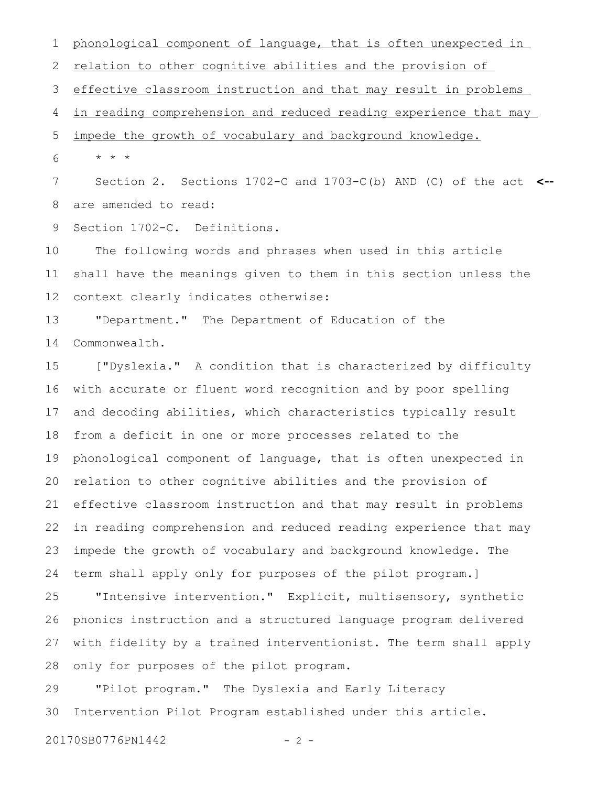phonological component of language, that is often unexpected in relation to other cognitive abilities and the provision of effective classroom instruction and that may result in problems in reading comprehension and reduced reading experience that may impede the growth of vocabulary and background knowledge. \* \* \* Section 2. Sections 1702-C and 1703-C(b) AND (C) of the act **<-** are amended to read: Section 1702-C. Definitions. The following words and phrases when used in this article shall have the meanings given to them in this section unless the context clearly indicates otherwise: "Department." The Department of Education of the 1 2 3 4 5 6 7 8 9 10 11 12 13

Commonwealth. 14

["Dyslexia." A condition that is characterized by difficulty with accurate or fluent word recognition and by poor spelling and decoding abilities, which characteristics typically result from a deficit in one or more processes related to the phonological component of language, that is often unexpected in relation to other cognitive abilities and the provision of effective classroom instruction and that may result in problems in reading comprehension and reduced reading experience that may impede the growth of vocabulary and background knowledge. The term shall apply only for purposes of the pilot program.] 15 16 17 18 19 20 21 22 23 24

"Intensive intervention." Explicit, multisensory, synthetic phonics instruction and a structured language program delivered with fidelity by a trained interventionist. The term shall apply only for purposes of the pilot program. 25 26 27 28

"Pilot program." The Dyslexia and Early Literacy Intervention Pilot Program established under this article. 29 30

20170SB0776PN1442 - 2 -